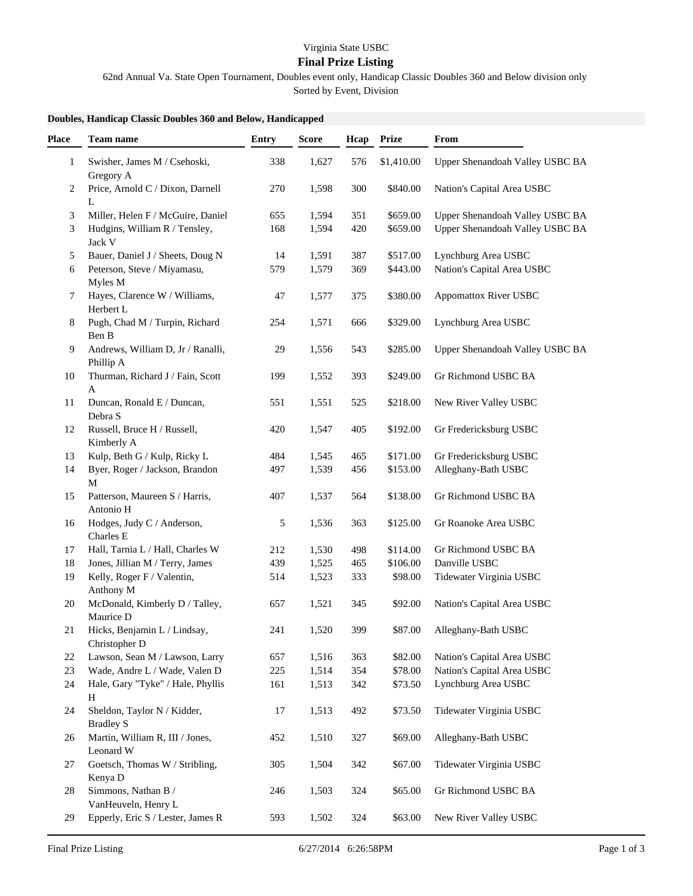## **Final Prize Listing**

62nd Annual Va. State Open Tournament, Doubles event only, Handicap Classic Doubles 360 and Below division only

Sorted by Event, Division

## **Doubles, Handicap Classic Doubles 360 and Below, Handicapped**

| <b>Place</b> | <b>Team name</b>                                 | <b>Entry</b> | <b>Score</b> | Hcap | Prize      | From                            |
|--------------|--------------------------------------------------|--------------|--------------|------|------------|---------------------------------|
| 1            | Swisher, James M / Csehoski,<br>Gregory A        | 338          | 1,627        | 576  | \$1,410.00 | Upper Shenandoah Valley USBC BA |
| 2            | Price, Arnold C / Dixon, Darnell<br>L            | 270          | 1,598        | 300  | \$840.00   | Nation's Capital Area USBC      |
| 3            | Miller, Helen F / McGuire, Daniel                | 655          | 1,594        | 351  | \$659.00   | Upper Shenandoah Valley USBC BA |
| 3            | Hudgins, William R / Tensley,                    | 168          | 1,594        | 420  | \$659.00   | Upper Shenandoah Valley USBC BA |
|              | Jack V                                           |              |              |      |            |                                 |
| 5            | Bauer, Daniel J / Sheets, Doug N                 | 14           | 1,591        | 387  | \$517.00   | Lynchburg Area USBC             |
| 6            | Peterson, Steve / Miyamasu,<br>Myles M           | 579          | 1,579        | 369  | \$443.00   | Nation's Capital Area USBC      |
| 7            | Hayes, Clarence W / Williams,<br>Herbert L       | 47           | 1,577        | 375  | \$380.00   | <b>Appomattox River USBC</b>    |
| 8            | Pugh, Chad M / Turpin, Richard<br>Ben B          | 254          | 1,571        | 666  | \$329.00   | Lynchburg Area USBC             |
| 9            | Andrews, William D, Jr / Ranalli,<br>Phillip A   | 29           | 1,556        | 543  | \$285.00   | Upper Shenandoah Valley USBC BA |
| 10           | Thurman, Richard J / Fain, Scott                 | 199          | 1,552        | 393  | \$249.00   | Gr Richmond USBC BA             |
| 11           | A<br>Duncan, Ronald E / Duncan,<br>Debra S       | 551          | 1,551        | 525  | \$218.00   | New River Valley USBC           |
| 12           | Russell, Bruce H / Russell,<br>Kimberly A        | 420          | 1,547        | 405  | \$192.00   | Gr Fredericksburg USBC          |
| 13           | Kulp, Beth G / Kulp, Ricky L                     | 484          | 1,545        | 465  | \$171.00   | Gr Fredericksburg USBC          |
| 14           | Byer, Roger / Jackson, Brandon                   | 497          | 1,539        | 456  | \$153.00   | Alleghany-Bath USBC             |
| 15           | М<br>Patterson, Maureen S / Harris,<br>Antonio H | 407          | 1,537        | 564  | \$138.00   | Gr Richmond USBC BA             |
| 16           | Hodges, Judy C / Anderson,<br>Charles E          | 5            | 1,536        | 363  | \$125.00   | Gr Roanoke Area USBC            |
| 17           | Hall, Tarnia L / Hall, Charles W                 | 212          | 1,530        | 498  | \$114.00   | Gr Richmond USBC BA             |
| 18           | Jones, Jillian M / Terry, James                  | 439          | 1,525        | 465  | \$106.00   | Danville USBC                   |
| 19           | Kelly, Roger F / Valentin,<br>Anthony M          | 514          | 1,523        | 333  | \$98.00    | Tidewater Virginia USBC         |
| 20           | McDonald, Kimberly D / Talley,<br>Maurice D      | 657          | 1,521        | 345  | \$92.00    | Nation's Capital Area USBC      |
| 21           | Hicks, Benjamin L / Lindsay,<br>Christopher D    | 241          | 1,520        | 399  | \$87.00    | Alleghany-Bath USBC             |
| 22           | Lawson, Sean M / Lawson, Larry                   | 657          | 1,516        | 363  | \$82.00    | Nation's Capital Area USBC      |
| 23           | Wade, Andre L / Wade, Valen D                    | 225          | 1,514        | 354  | \$78.00    | Nation's Capital Area USBC      |
| 24           | Hale, Gary "Tyke" / Hale, Phyllis<br>H           | 161          | 1,513        | 342  | \$73.50    | Lynchburg Area USBC             |
| 24           | Sheldon, Taylor N / Kidder,<br><b>Bradley S</b>  | 17           | 1,513        | 492  | \$73.50    | Tidewater Virginia USBC         |
| 26           | Martin, William R, III / Jones,<br>Leonard W     | 452          | 1,510        | 327  | \$69.00    | Alleghany-Bath USBC             |
| 27           | Goetsch, Thomas W / Stribling,<br>Kenya D        | 305          | 1,504        | 342  | \$67.00    | Tidewater Virginia USBC         |
| 28           | Simmons, Nathan B /<br>VanHeuveln, Henry L       | 246          | 1,503        | 324  | \$65.00    | Gr Richmond USBC BA             |
| 29           | Epperly, Eric S / Lester, James R                | 593          | 1,502        | 324  | \$63.00    | New River Valley USBC           |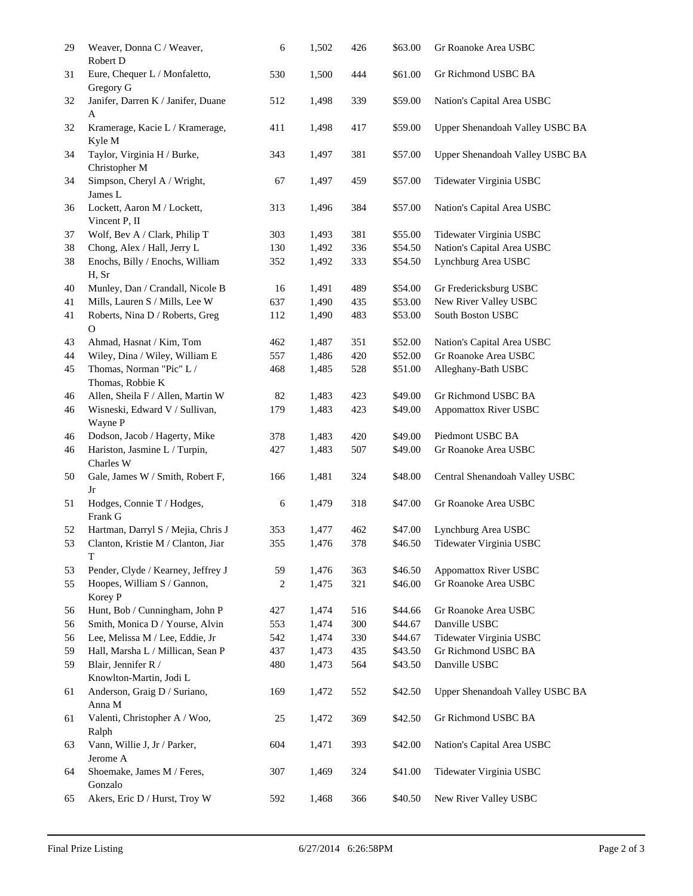| 29 | Weaver, Donna C / Weaver,<br>Robert D          | 6   | 1,502 | 426 | \$63.00 | Gr Roanoke Area USBC            |
|----|------------------------------------------------|-----|-------|-----|---------|---------------------------------|
| 31 | Eure, Chequer L / Monfaletto,<br>Gregory G     | 530 | 1,500 | 444 | \$61.00 | Gr Richmond USBC BA             |
| 32 | Janifer, Darren K / Janifer, Duane<br>A        | 512 | 1,498 | 339 | \$59.00 | Nation's Capital Area USBC      |
| 32 | Kramerage, Kacie L / Kramerage,<br>Kyle M      | 411 | 1,498 | 417 | \$59.00 | Upper Shenandoah Valley USBC BA |
| 34 | Taylor, Virginia H / Burke,<br>Christopher M   | 343 | 1,497 | 381 | \$57.00 | Upper Shenandoah Valley USBC BA |
| 34 | Simpson, Cheryl A / Wright,<br>James L         | 67  | 1,497 | 459 | \$57.00 | Tidewater Virginia USBC         |
| 36 | Lockett, Aaron M / Lockett,<br>Vincent P, II   | 313 | 1,496 | 384 | \$57.00 | Nation's Capital Area USBC      |
| 37 | Wolf, Bev A / Clark, Philip T                  | 303 | 1,493 | 381 | \$55.00 | Tidewater Virginia USBC         |
| 38 | Chong, Alex / Hall, Jerry L                    | 130 | 1,492 | 336 | \$54.50 | Nation's Capital Area USBC      |
| 38 | Enochs, Billy / Enochs, William<br>H, Sr       | 352 | 1,492 | 333 | \$54.50 | Lynchburg Area USBC             |
| 40 | Munley, Dan / Crandall, Nicole B               | 16  | 1,491 | 489 | \$54.00 | Gr Fredericksburg USBC          |
| 41 | Mills, Lauren S / Mills, Lee W                 | 637 | 1,490 | 435 | \$53.00 | New River Valley USBC           |
| 41 | Roberts, Nina D / Roberts, Greg<br>$\mathbf O$ | 112 | 1,490 | 483 | \$53.00 | South Boston USBC               |
| 43 | Ahmad, Hasnat / Kim, Tom                       | 462 | 1,487 | 351 | \$52.00 | Nation's Capital Area USBC      |
| 44 | Wiley, Dina / Wiley, William E                 | 557 | 1,486 | 420 | \$52.00 | Gr Roanoke Area USBC            |
| 45 | Thomas, Norman "Pic" L /<br>Thomas, Robbie K   | 468 | 1,485 | 528 | \$51.00 | Alleghany-Bath USBC             |
| 46 | Allen, Sheila F / Allen, Martin W              | 82  | 1,483 | 423 | \$49.00 | Gr Richmond USBC BA             |
| 46 | Wisneski, Edward V / Sullivan,<br>Wayne P      | 179 | 1,483 | 423 | \$49.00 | Appomattox River USBC           |
| 46 | Dodson, Jacob / Hagerty, Mike                  | 378 | 1,483 | 420 | \$49.00 | Piedmont USBC BA                |
| 46 | Hariston, Jasmine L / Turpin,<br>Charles W     | 427 | 1,483 | 507 | \$49.00 | Gr Roanoke Area USBC            |
| 50 | Gale, James W / Smith, Robert F,<br>Jr         | 166 | 1,481 | 324 | \$48.00 | Central Shenandoah Valley USBC  |
| 51 | Hodges, Connie T / Hodges,<br>Frank G          | 6   | 1,479 | 318 | \$47.00 | Gr Roanoke Area USBC            |
| 52 | Hartman, Darryl S / Mejia, Chris J             | 353 | 1,477 | 462 | \$47.00 | Lynchburg Area USBC             |
| 53 | Clanton, Kristie M / Clanton, Jiar<br>T        | 355 | 1,476 | 378 | \$46.50 | Tidewater Virginia USBC         |
| 53 | Pender, Clyde / Kearney, Jeffrey J             | 59  | 1,476 | 363 | \$46.50 | <b>Appomattox River USBC</b>    |
| 55 | Hoopes, William S / Gannon,<br>Korey P         | 2   | 1,475 | 321 | \$46.00 | Gr Roanoke Area USBC            |
| 56 | Hunt, Bob / Cunningham, John P                 | 427 | 1,474 | 516 | \$44.66 | Gr Roanoke Area USBC            |
| 56 | Smith, Monica D / Yourse, Alvin                | 553 | 1,474 | 300 | \$44.67 | Danville USBC                   |
| 56 | Lee, Melissa M / Lee, Eddie, Jr                | 542 | 1,474 | 330 | \$44.67 | Tidewater Virginia USBC         |
| 59 | Hall, Marsha L / Millican, Sean P              | 437 | 1,473 | 435 | \$43.50 | Gr Richmond USBC BA             |
| 59 | Blair, Jennifer R /<br>Knowlton-Martin, Jodi L | 480 | 1,473 | 564 | \$43.50 | Danville USBC                   |
| 61 | Anderson, Graig D / Suriano,<br>Anna M         | 169 | 1,472 | 552 | \$42.50 | Upper Shenandoah Valley USBC BA |
| 61 | Valenti, Christopher A / Woo,<br>Ralph         | 25  | 1,472 | 369 | \$42.50 | Gr Richmond USBC BA             |
| 63 | Vann, Willie J, Jr / Parker,<br>Jerome A       | 604 | 1,471 | 393 | \$42.00 | Nation's Capital Area USBC      |
| 64 | Shoemake, James M / Feres,<br>Gonzalo          | 307 | 1,469 | 324 | \$41.00 | Tidewater Virginia USBC         |
| 65 | Akers, Eric D / Hurst, Troy W                  | 592 | 1,468 | 366 | \$40.50 | New River Valley USBC           |